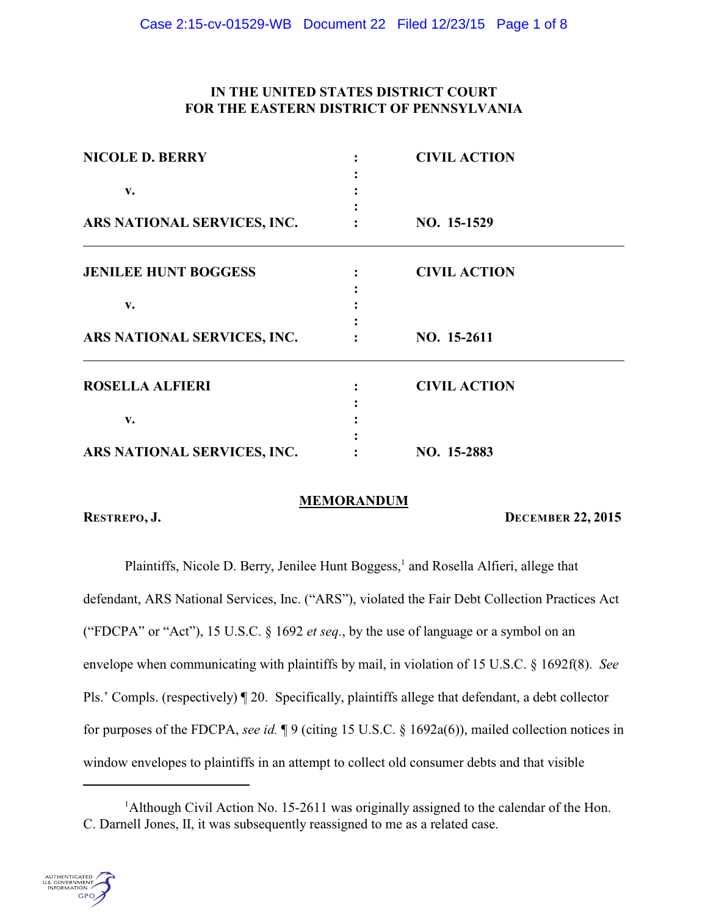# **IN THE UNITED STATES DISTRICT COURT FOR THE EASTERN DISTRICT OF PENNSYLVANIA**

| <b>NICOLE D. BERRY</b><br>v. | <b>CIVIL ACTION</b> |
|------------------------------|---------------------|
|                              |                     |
|                              |                     |
|                              |                     |
| <b>JENILEE HUNT BOGGESS</b>  | <b>CIVIL ACTION</b> |
|                              |                     |
| v.                           |                     |
|                              |                     |
| ARS NATIONAL SERVICES, INC.  | NO. 15-2611         |
| <b>ROSELLA ALFIERI</b>       | <b>CIVIL ACTION</b> |
| v.                           |                     |
|                              |                     |
|                              |                     |
|                              |                     |
| ARS NATIONAL SERVICES, INC.  | NO. 15-2883         |

# **MEMORANDUM**

**RESTREPO, J. DECEMBER 22, 2015**

Plaintiffs, Nicole D. Berry, Jenilee Hunt Boggess,<sup>1</sup> and Rosella Alfieri, allege that defendant, ARS National Services, Inc. ("ARS"), violated the Fair Debt Collection Practices Act ("FDCPA" or "Act"), 15 U.S.C. § 1692 *et seq.*, by the use of language or a symbol on an envelope when communicating with plaintiffs by mail, in violation of 15 U.S.C. § 1692f(8). *See* Pls.' Compls. (respectively) ¶ 20. Specifically, plaintiffs allege that defendant, a debt collector for purposes of the FDCPA, *see id.* ¶ 9 (citing 15 U.S.C. § 1692a(6)), mailed collection notices in window envelopes to plaintiffs in an attempt to collect old consumer debts and that visible

<sup>&</sup>lt;sup>1</sup>Although Civil Action No. 15-2611 was originally assigned to the calendar of the Hon. C. Darnell Jones, II, it was subsequently reassigned to me as a related case.

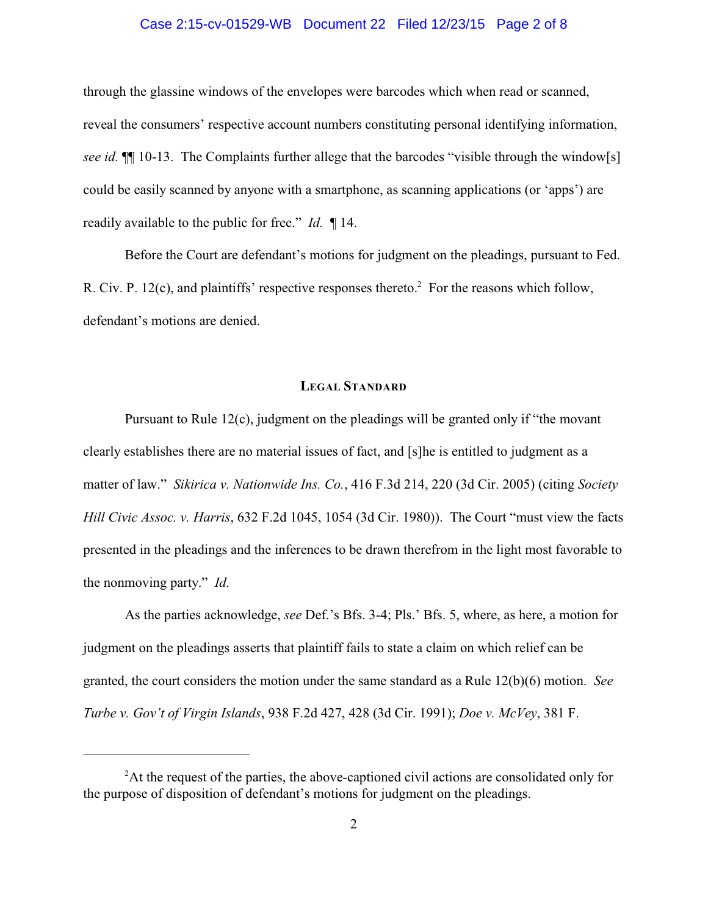# Case 2:15-cv-01529-WB Document 22 Filed 12/23/15 Page 2 of 8

through the glassine windows of the envelopes were barcodes which when read or scanned, reveal the consumers' respective account numbers constituting personal identifying information, *see id.* ¶¶ 10-13. The Complaints further allege that the barcodes "visible through the window[s] could be easily scanned by anyone with a smartphone, as scanning applications (or 'apps') are readily available to the public for free." *Id.* ¶ 14.

Before the Court are defendant's motions for judgment on the pleadings, pursuant to Fed. R. Civ. P. 12(c), and plaintiffs' respective responses thereto.<sup>2</sup> For the reasons which follow, defendant's motions are denied.

# **LEGAL STANDARD**

Pursuant to Rule 12(c), judgment on the pleadings will be granted only if "the movant clearly establishes there are no material issues of fact, and [s]he is entitled to judgment as a matter of law." *Sikirica v. Nationwide Ins. Co.*, 416 F.3d 214, 220 (3d Cir. 2005) (citing *Society Hill Civic Assoc. v. Harris*, 632 F.2d 1045, 1054 (3d Cir. 1980)). The Court "must view the facts presented in the pleadings and the inferences to be drawn therefrom in the light most favorable to the nonmoving party." *Id.*

As the parties acknowledge, *see* Def.'s Bfs. 3-4; Pls.' Bfs. 5, where, as here, a motion for judgment on the pleadings asserts that plaintiff fails to state a claim on which relief can be granted, the court considers the motion under the same standard as a Rule 12(b)(6) motion. *See Turbe v. Gov't of Virgin Islands*, 938 F.2d 427, 428 (3d Cir. 1991); *Doe v. McVey*, 381 F.

 ${}^{2}$ At the request of the parties, the above-captioned civil actions are consolidated only for the purpose of disposition of defendant's motions for judgment on the pleadings.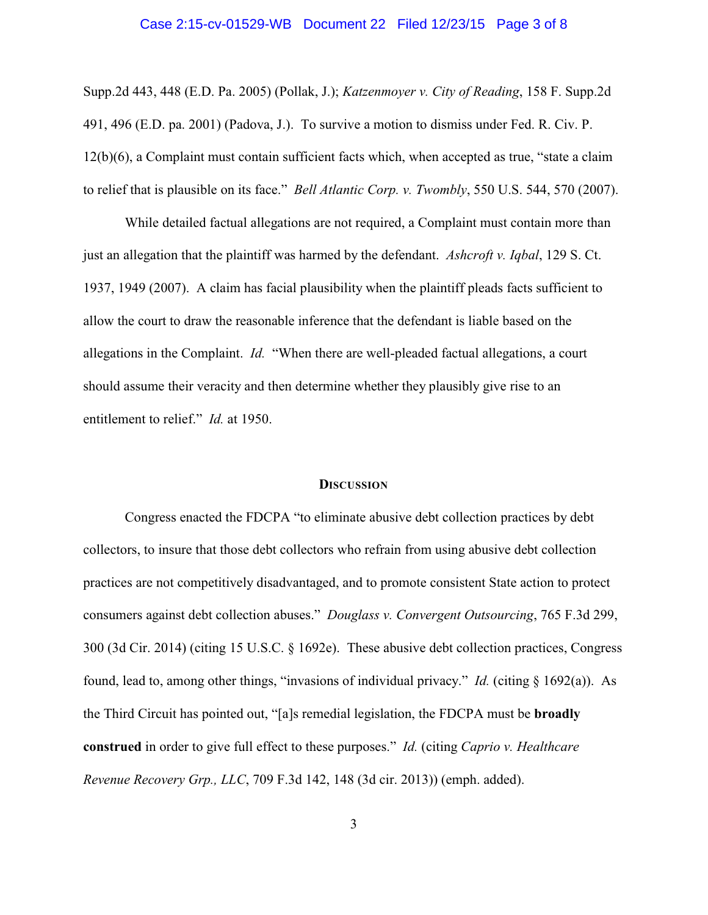# Case 2:15-cv-01529-WB Document 22 Filed 12/23/15 Page 3 of 8

Supp.2d 443, 448 (E.D. Pa. 2005) (Pollak, J.); *Katzenmoyer v. City of Reading*, 158 F. Supp.2d 491, 496 (E.D. pa. 2001) (Padova, J.). To survive a motion to dismiss under Fed. R. Civ. P. 12(b)(6), a Complaint must contain sufficient facts which, when accepted as true, "state a claim to relief that is plausible on its face." *Bell Atlantic Corp. v. Twombly*, 550 U.S. 544, 570 (2007).

While detailed factual allegations are not required, a Complaint must contain more than just an allegation that the plaintiff was harmed by the defendant. *Ashcroft v. Iqbal*, 129 S. Ct. 1937, 1949 (2007). A claim has facial plausibility when the plaintiff pleads facts sufficient to allow the court to draw the reasonable inference that the defendant is liable based on the allegations in the Complaint. *Id.* "When there are well-pleaded factual allegations, a court should assume their veracity and then determine whether they plausibly give rise to an entitlement to relief." *Id.* at 1950.

# **DISCUSSION**

Congress enacted the FDCPA "to eliminate abusive debt collection practices by debt collectors, to insure that those debt collectors who refrain from using abusive debt collection practices are not competitively disadvantaged, and to promote consistent State action to protect consumers against debt collection abuses." *Douglass v. Convergent Outsourcing*, 765 F.3d 299, 300 (3d Cir. 2014) (citing 15 U.S.C. § 1692e). These abusive debt collection practices, Congress found, lead to, among other things, "invasions of individual privacy." *Id.* (citing § 1692(a)). As the Third Circuit has pointed out, "[a]s remedial legislation, the FDCPA must be **broadly construed** in order to give full effect to these purposes." *Id.* (citing *Caprio v. Healthcare Revenue Recovery Grp., LLC*, 709 F.3d 142, 148 (3d cir. 2013)) (emph. added).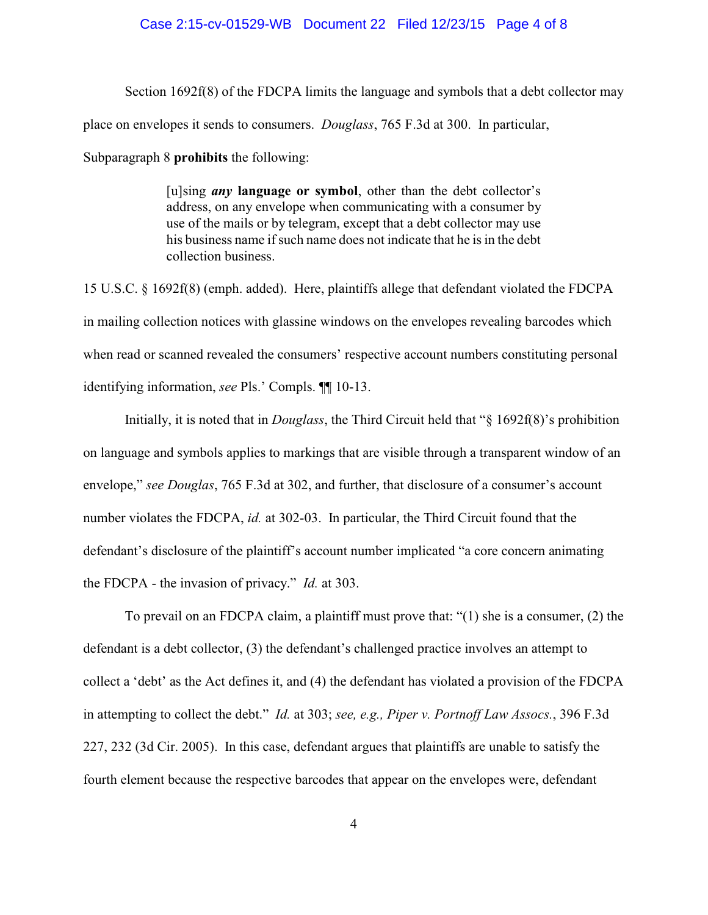### Case 2:15-cv-01529-WB Document 22 Filed 12/23/15 Page 4 of 8

Section 1692f(8) of the FDCPA limits the language and symbols that a debt collector may place on envelopes it sends to consumers. *Douglass*, 765 F.3d at 300. In particular, Subparagraph 8 **prohibits** the following:

> [u]sing *any* **language or symbol**, other than the debt collector's address, on any envelope when communicating with a consumer by use of the mails or by telegram, except that a debt collector may use his business name if such name does not indicate that he is in the debt collection business.

15 U.S.C. § 1692f(8) (emph. added). Here, plaintiffs allege that defendant violated the FDCPA in mailing collection notices with glassine windows on the envelopes revealing barcodes which when read or scanned revealed the consumers' respective account numbers constituting personal identifying information, *see* Pls.' Compls. ¶¶ 10-13.

Initially, it is noted that in *Douglass*, the Third Circuit held that "§ 1692f(8)'s prohibition on language and symbols applies to markings that are visible through a transparent window of an envelope," *see Douglas*, 765 F.3d at 302, and further, that disclosure of a consumer's account number violates the FDCPA, *id.* at 302-03. In particular, the Third Circuit found that the defendant's disclosure of the plaintiff's account number implicated "a core concern animating the FDCPA - the invasion of privacy." *Id.* at 303.

To prevail on an FDCPA claim, a plaintiff must prove that: "(1) she is a consumer, (2) the defendant is a debt collector, (3) the defendant's challenged practice involves an attempt to collect a 'debt' as the Act defines it, and (4) the defendant has violated a provision of the FDCPA in attempting to collect the debt." *Id.* at 303; *see, e.g., Piper v. Portnoff Law Assocs.*, 396 F.3d 227, 232 (3d Cir. 2005). In this case, defendant argues that plaintiffs are unable to satisfy the fourth element because the respective barcodes that appear on the envelopes were, defendant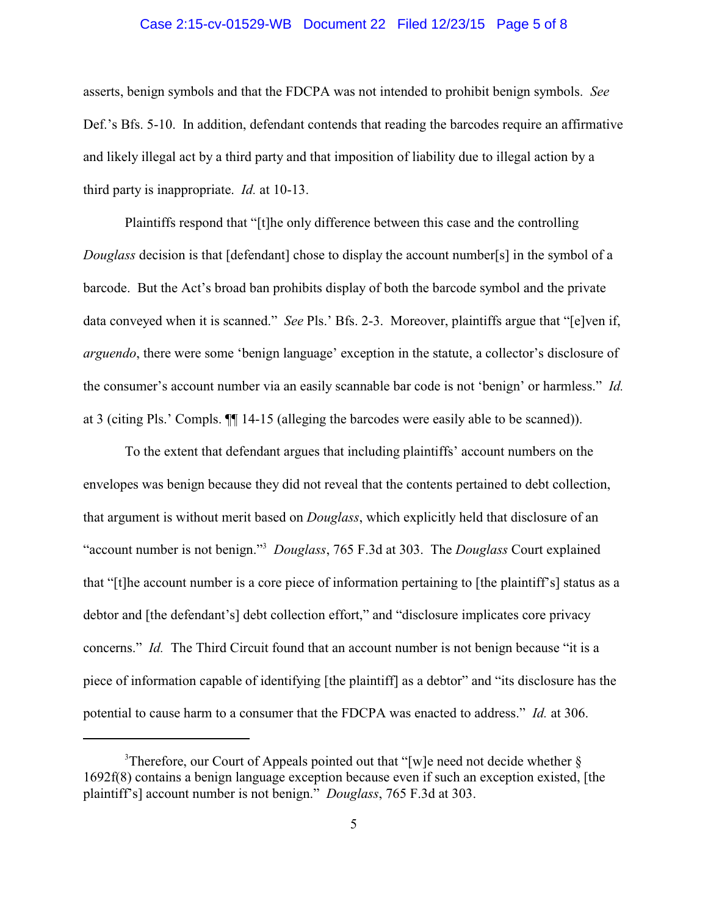# Case 2:15-cv-01529-WB Document 22 Filed 12/23/15 Page 5 of 8

asserts, benign symbols and that the FDCPA was not intended to prohibit benign symbols. *See* Def.'s Bfs. 5-10. In addition, defendant contends that reading the barcodes require an affirmative and likely illegal act by a third party and that imposition of liability due to illegal action by a third party is inappropriate. *Id.* at 10-13.

Plaintiffs respond that "[t]he only difference between this case and the controlling *Douglass* decision is that [defendant] chose to display the account number[s] in the symbol of a barcode. But the Act's broad ban prohibits display of both the barcode symbol and the private data conveyed when it is scanned." *See* Pls.' Bfs. 2-3. Moreover, plaintiffs argue that "[e]ven if, *arguendo*, there were some 'benign language' exception in the statute, a collector's disclosure of the consumer's account number via an easily scannable bar code is not 'benign' or harmless." *Id.* at 3 (citing Pls.' Compls. ¶¶ 14-15 (alleging the barcodes were easily able to be scanned)).

To the extent that defendant argues that including plaintiffs' account numbers on the envelopes was benign because they did not reveal that the contents pertained to debt collection, that argument is without merit based on *Douglass*, which explicitly held that disclosure of an "account number is not benign."<sup>3</sup> Douglass, 765 F.3d at 303. The *Douglass* Court explained that "[t]he account number is a core piece of information pertaining to [the plaintiff's] status as a debtor and [the defendant's] debt collection effort," and "disclosure implicates core privacy concerns." *Id.* The Third Circuit found that an account number is not benign because "it is a piece of information capable of identifying [the plaintiff] as a debtor" and "its disclosure has the potential to cause harm to a consumer that the FDCPA was enacted to address." *Id.* at 306.

<sup>&</sup>lt;sup>3</sup>Therefore, our Court of Appeals pointed out that "[w]e need not decide whether  $\S$ 1692f(8) contains a benign language exception because even if such an exception existed, [the plaintiff's] account number is not benign." *Douglass*, 765 F.3d at 303.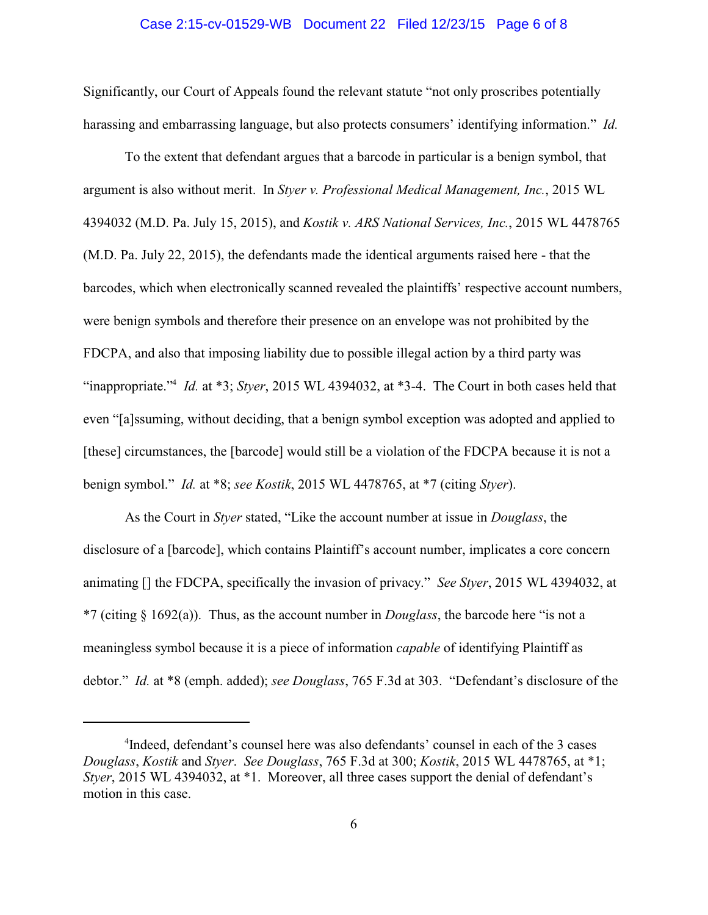# Case 2:15-cv-01529-WB Document 22 Filed 12/23/15 Page 6 of 8

Significantly, our Court of Appeals found the relevant statute "not only proscribes potentially harassing and embarrassing language, but also protects consumers' identifying information." *Id.*

To the extent that defendant argues that a barcode in particular is a benign symbol, that argument is also without merit. In *Styer v. Professional Medical Management, Inc.*, 2015 WL 4394032 (M.D. Pa. July 15, 2015), and *Kostik v. ARS National Services, Inc.*, 2015 WL 4478765 (M.D. Pa. July 22, 2015), the defendants made the identical arguments raised here - that the barcodes, which when electronically scanned revealed the plaintiffs' respective account numbers, were benign symbols and therefore their presence on an envelope was not prohibited by the FDCPA, and also that imposing liability due to possible illegal action by a third party was "inappropriate."<sup>4</sup> *Id.* at \*3; *Styer*, 2015 WL 4394032, at \*3-4. The Court in both cases held that even "[a]ssuming, without deciding, that a benign symbol exception was adopted and applied to [these] circumstances, the [barcode] would still be a violation of the FDCPA because it is not a benign symbol." *Id.* at \*8; *see Kostik*, 2015 WL 4478765, at \*7 (citing *Styer*).

As the Court in *Styer* stated, "Like the account number at issue in *Douglass*, the disclosure of a [barcode], which contains Plaintiff's account number, implicates a core concern animating [] the FDCPA, specifically the invasion of privacy." *See Styer*, 2015 WL 4394032, at \*7 (citing § 1692(a)). Thus, as the account number in *Douglass*, the barcode here "is not a meaningless symbol because it is a piece of information *capable* of identifying Plaintiff as debtor." *Id.* at \*8 (emph. added); *see Douglass*, 765 F.3d at 303. "Defendant's disclosure of the

<sup>&</sup>lt;sup>4</sup>Indeed, defendant's counsel here was also defendants' counsel in each of the 3 cases *Douglass*, *Kostik* and *Styer*. *See Douglass*, 765 F.3d at 300; *Kostik*, 2015 WL 4478765, at \*1; *Styer*, 2015 WL 4394032, at \*1. Moreover, all three cases support the denial of defendant's motion in this case.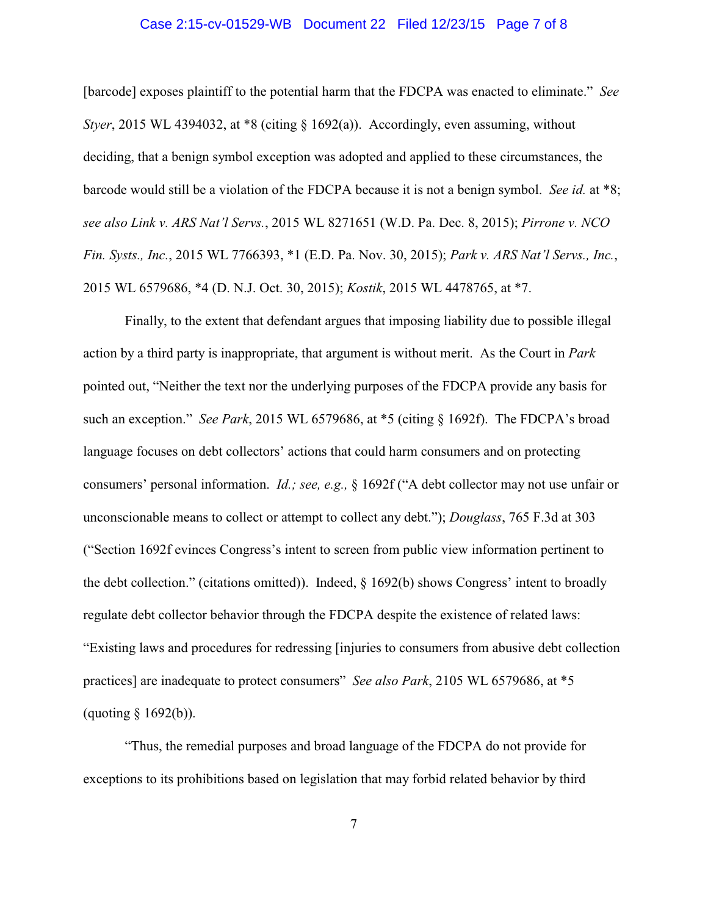# Case 2:15-cv-01529-WB Document 22 Filed 12/23/15 Page 7 of 8

[barcode] exposes plaintiff to the potential harm that the FDCPA was enacted to eliminate." *See Styer*, 2015 WL 4394032, at \*8 (citing § 1692(a)). Accordingly, even assuming, without deciding, that a benign symbol exception was adopted and applied to these circumstances, the barcode would still be a violation of the FDCPA because it is not a benign symbol. *See id.* at \*8; *see also Link v. ARS Nat'l Servs.*, 2015 WL 8271651 (W.D. Pa. Dec. 8, 2015); *Pirrone v. NCO Fin. Systs., Inc.*, 2015 WL 7766393, \*1 (E.D. Pa. Nov. 30, 2015); *Park v. ARS Nat'l Servs., Inc.*, 2015 WL 6579686, \*4 (D. N.J. Oct. 30, 2015); *Kostik*, 2015 WL 4478765, at \*7.

Finally, to the extent that defendant argues that imposing liability due to possible illegal action by a third party is inappropriate, that argument is without merit. As the Court in *Park* pointed out, "Neither the text nor the underlying purposes of the FDCPA provide any basis for such an exception." *See Park*, 2015 WL 6579686, at \*5 (citing § 1692f). The FDCPA's broad language focuses on debt collectors' actions that could harm consumers and on protecting consumers' personal information. *Id.; see, e.g.,* § 1692f ("A debt collector may not use unfair or unconscionable means to collect or attempt to collect any debt."); *Douglass*, 765 F.3d at 303 ("Section 1692f evinces Congress's intent to screen from public view information pertinent to the debt collection." (citations omitted)). Indeed, § 1692(b) shows Congress' intent to broadly regulate debt collector behavior through the FDCPA despite the existence of related laws: "Existing laws and procedures for redressing [injuries to consumers from abusive debt collection practices] are inadequate to protect consumers" *See also Park*, 2105 WL 6579686, at \*5 (quoting § 1692(b)).

"Thus, the remedial purposes and broad language of the FDCPA do not provide for exceptions to its prohibitions based on legislation that may forbid related behavior by third